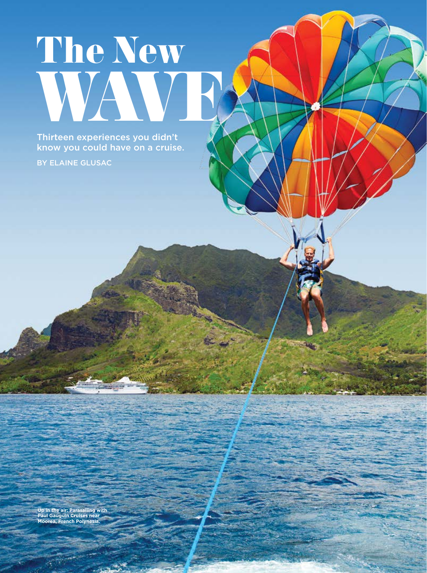# The New WAVE W

Thirteen experiences you didn't know you could have on a cruise.

BY ELAINE GLUSAC

**Up in the air: Parasailing with Paul Gauguin Cruises near Moorea, French Polynesia.**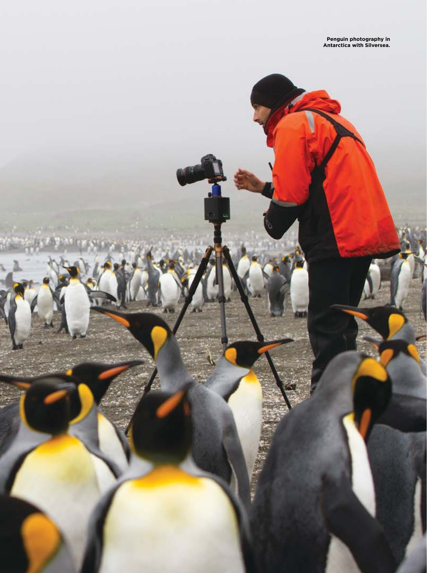**Penguin photography in Antarctica with Silversea.**

2 ULTIMATE CRUISES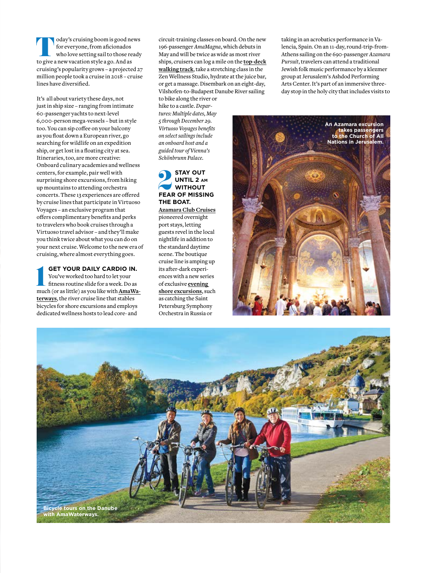**Today's cruising boom is good news<br>for everyone, from aficionados<br>who love setting sail to those ready<br>to give a new vacation style a go. And as** for everyone, from aficionados who love setting sail to those ready cruising's popularity grows – a projected 27 million people took a cruise in 2018 – cruise lines have diversified.

It's all about variety these days, not just in ship size – ranging from intimate 60-passenger yachts to next-level 6,000-person mega-vessels – but in style too. You can sip coffee on your balcony as you float down a European river, go searching for wildlife on an expedition ship, or get lost in a floating city at sea. Itineraries, too, are more creative: Onboard culinary academies and wellness centers, for example, pair well with surprising shore excursions, from hiking up mountains to attending orchestra concerts. These 13 experiences are offered by cruise lines that participate in Virtuoso Voyages – an exclusive program that offers complimentary benefits and perks to travelers who book cruises through a Virtuoso travel advisor – and they'll make you think twice about what you can do on your next cruise. Welcome to the new era of cruising, where almost everything goes.

1**GET YOUR DAILY CARDIO IN.** You've worked too hard to let your fitness routine slide for a week. Do as much (or as little) as you like with **AmaWaterways**, the river cruise line that stables bicycles for shore excursions and employs dedicated wellness hosts to lead core- and

circuit-training classes on board. On the new 196-passenger *AmaMagna*, which debuts in May and will be twice as wide as most river ships, cruisers can log a mile on the **top-deck walking track**, take a stretching class in the Zen Wellness Studio, hydrate at the juice bar, or get a massage. Disembark on an eight-day, Vilshofen-to-Budapest Danube River sailing to bike along the river or hike to a castle. *Departures: Multiple dates, May* 

*5 through December 29. Virtuoso Voyages benefits on select sailings include an onboard host and a guided tour of Vienna's Schönbrunn Palace.* 

# **STAY OUT<br>
UNTIL 2 AM<br>
WITHOUT<br>
FEAR OF MISSING UNTIL 2 am WITHOUT THE BOAT.**

**Azamara Club Cruises** pioneered overnight port stays, letting guests revel in the local nightlife in addition to the standard daytime scene. The boutique cruise line is amping up its after-dark experiences with a new series of exclusive **evening shore excursions**, such as catching the Saint Petersburg Symphony Orchestra in Russia or

taking in an acrobatics performance in Valencia, Spain. On an 11-day, round-trip-from-Athens sailing on the 690-passenger *Azamara Pursuit*, travelers can attend a traditional Jewish folk music performance by a klezmer group at Jerusalem's Ashdod Performing Arts Center. It's part of an immersive threeday stop in the holy city that includes visits to



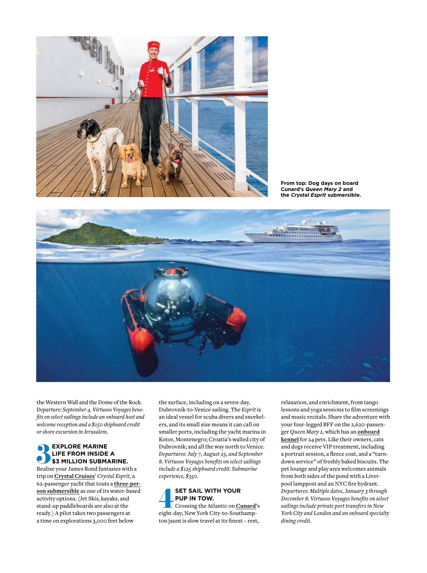

**From top: Dog days on board Cunard's** *Queen Mary 2* **and the** *Crystal Esprit* **submersible.**



the Western Wall and the Dome of the Rock. *Departure: September 4. Virtuoso Voyages benefits on select sailings include an onboard host and welcome reception and a \$150 shipboard credit or shore excursion in Jerusalem.*

# **EXPLORE MARINE<br>
LIFE FROM INSIDE A<br>
\$3 MILLION SUBMARINE.**<br>
Realize your James Bond fantasies with a **LIFE FROM INSIDE A \$3 MILLION SUBMARINE.**

trip on **Crystal Cruises**' *Crystal Esprit*, a 62-passenger yacht that touts a **three-person submersible** as one of its water-based activity options. (Jet Skis, kayaks, and stand-up paddleboards are also at the ready.) A pilot takes two passengers at a time on explorations 3,000 feet below

the surface, including on a seven-day, Dubrovnik-to-Venice sailing. The *Esprit* is an ideal vessel for scuba divers and snorkelers, and its small size means it can call on smaller ports, including the yacht marina in Kotor, Montenegro; Croatia's walled city of Dubrovnik; and all the way north to Venice. *Departures: July 7, August 25, and September 8. Virtuoso Voyages benefits on select sailings include a \$125 shipboard credit. Submarine experience, \$350.*

### **SET SAIL WITH YOUR<br>
PUP IN TOW.**<br>
Crossing the Atlantic on **Cunard**<br>
eight-day, New York City-to-Southamp-**PUP IN TOW.** Crossing the Atlantic on **Cunard**'s ton jaunt is slow travel at its finest – rest,

relaxation, and enrichment, from tango lessons and yoga sessions to film screenings and music recitals. Share the adventure with your four-legged BFF on the 2,620-passenger *Queen Mary 2*, which has an **onboard kennel** for 24 pets. Like their owners, cats and dogs receive VIP treatment, including a portrait session, a fleece coat, and a "turndown service" of freshly baked biscuits. The pet lounge and play area welcomes animals from both sides of the pond with a Liverpool lamppost and an NYC fire hydrant. *Departures: Multiple dates, January 3 through December 8. Virtuoso Voyages benefits on select sailings include private port transfers in New York City and London and an onboard specialty dining credit.*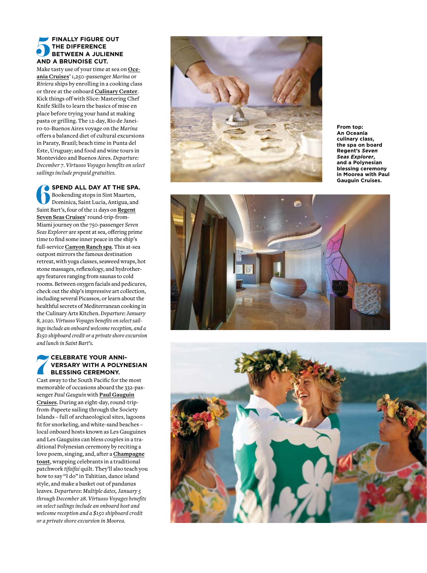# **FINALLY FIGURE OUT**<br> **AND A BRUNOISE CUT.**<br> **AND A BRUNOISE CUT. THE DIFFERENCE BETWEEN A JULIENNE**

Make tasty use of your time at sea on **Oce ania Cruises**' 1,250-passenger *Marina* or *Riviera* ships by enrolling in a cooking class or three at the onboard **Culinary Center**. Kick things off with Slice: Mastering Chef Knife Skills to learn the basics of mise en place before trying your hand at making pasta or grilling. The 12-day, Rio de Janei ro-to-Buenos Aires voyage on the *Marina* offers a balanced diet of cultural excursions in Paraty, Brazil; beach time in Punta del Este, Uruguay; and food and wine tours in Montevideo and Buenos Aires. *Departure: December 7. Virtuoso Voyages benefits on select sailings include prepaid gratuities.*

6**SPEND ALL DAY AT THE SPA.** Bookending stops in Sint Maarten, Dominica, Saint Lucia, Antigua, and Saint Bart's, four of the 11 days on **Regent Seven Seas Cruises**' round-trip-from-Miami journey on the 750-passenger *Seven Seas Explorer* are spent at sea, offering prime time to find some inner peace in the ship's full-service **Canyon Ranch spa**. This at-sea outpost mirrors the famous destination retreat, with yoga classes, seaweed wraps, hot stone massages, reflexology, and hydrother apy features ranging from saunas to cold rooms. Between oxygen facials and pedicures, check out the ship's impressive art collection, including several Picassos, or learn about the healthful secrets of Mediterranean cooking in the Culinary Arts Kitchen. *Departure: January 8, 2020. Virtuoso Voyages benefits on select sail ings include an onboard welcome reception, and a \$150 shipboard credit or a private shore excursion and lunch in Saint Bart's.*

## **THE COUR ANNIVERSARY WITH A POLYNAMIC SEREMONY.**<br> **Cast away to the South Pacific for the VERSARY WITH A POLYNESIAN BLESSING CEREMONY.**

Cast away to the South Pacific for the most memorable of occasions aboard the 332-pas senger *Paul Gauguin* with **Paul Gauguin Cruises**. During an eight-day, round-tripfrom-Papeete sailing through the Society Islands – full of archaeological sites, lagoons fit for snorkeling, and white-sand beaches – local onboard hosts known as Les Gauguines and Les Gauguins can bless couples in a tra ditional Polynesian ceremony by reciting a love poem, singing, and, after a **Champagne toast**, wrapping celebrants in a traditional patchwork *tifaifai* quilt. They'll also teach you how to say "I do" in Tahitian, dance island style, and make a basket out of pandanus leaves. *Departures: Multiple dates, January 5 through December 28. Virtuoso Voyages benefits on select sailings include an onboard host and welcome reception and a \$150 shipboard credit or a private shore excursion in Moorea.*



**From top: An Oceania culinary class, the spa on board Regent's** *Seven Seas Explorer***, and a Polynesian blessing ceremony in Moorea with Paul Gauguin Cruises.**



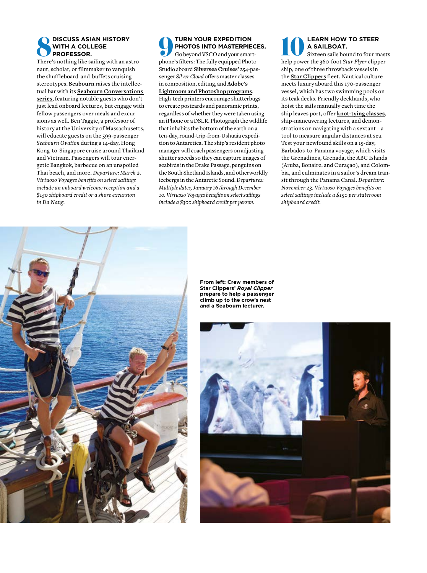#### **BISCUSS ASIAN HISTORY WITH A COLLEGE PROFESSOR.**

There's nothing like sailing with an astronaut, scholar, or filmmaker to vanquish the shuffleboard-and-buffets cruising stereotypes. **Seabourn** raises the intellectual bar with its **Seabourn Conversations series**, featuring notable guests who don't just lead onboard lectures, but engage with fellow passengers over meals and excursions as well. Ben Taggie, a professor of history at the University of Massachusetts, will educate guests on the 599-passenger *Seabourn Ovation* during a 14-day, Hong Kong-to-Singapore cruise around Thailand and Vietnam. Passengers will tour energetic Bangkok, barbecue on an unspoiled Thai beach, and more. *Departure: March 2. Virtuoso Voyages benefits on select sailings include an onboard welcome reception and a \$150 shipboard credit or a shore excursion in Da Nang.*

9**TURN YOUR EXPEDITION PHOTOS INTO MASTERPIECES.** Go beyond VSCO and your smartphone's filters: The fully equipped Photo Studio aboard **Silversea Cruises**' 254-passenger *Silver Cloud* offers master classes in composition, editing, and **Adobe's Lightroom and Photoshop programs**. High-tech printers encourage shutterbugs to create postcards and panoramic prints, regardless of whether they were taken using an iPhone or a DSLR. Photograph the wildlife that inhabits the bottom of the earth on a ten-day, round-trip-from-Ushuaia expedition to Antarctica. The ship's resident photo manager will coach passengers on adjusting shutter speeds so they can capture images of seabirds in the Drake Passage, penguins on the South Shetland Islands, and otherworldly icebergs in the Antarctic Sound. *Departures: Multiple dates, January 16 through December 10. Virtuoso Voyages benefits on select sailings include a \$300 shipboard credit per person.*

#### Al<br>A<br>ee<br>e 3 **LEARN HOW TO STEER A SAILBOAT. help WA SAILBOAT.**<br>Sixteen sails bound to four mast<br>help power the 360-foot *Star Flyer* clipper

Sixteen sails bound to four masts ship, one of three throwback vessels in the **Star Clippers** fleet. Nautical culture meets luxury aboard this 170-passenger vessel, which has two swimming pools on its teak decks. Friendly deckhands, who hoist the sails manually each time the ship leaves port, offer **knot-tying classes**, ship-maneuvering lectures, and demonstrations on navigating with a sextant – a tool to measure angular distances at sea. Test your newfound skills on a 15-day, Barbados-to-Panama voyage, which visits the Grenadines, Grenada, the ABC Islands (Aruba, Bonaire, and Curaçao), and Colombia, and culminates in a sailor's dream transit through the Panama Canal. *Departure: November 23. Virtuoso Voyages benefits on select sailings include a \$150 per stateroom shipboard credit.*



**From left: Crew members of Star Clippers'** *Royal Clipper* **prepare to help a passenger climb up to the crow's nest and a Seabourn lecturer.**

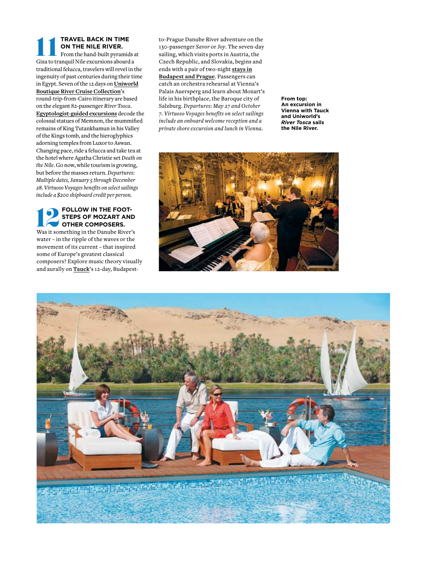#### **TRAVEL BACK IN TIME ON THE NILE RIVER.** From the hand-built pyramids at **Giza to tranquil Nile excursions aboard a**<br>Giza to tranquil Nile excursions aboard a

traditional felucca, travelers will revel in the ingenuity of past centuries during their time in Egypt. Seven of the 12 days on **Uniworld Boutique River Cruise Collection**'s round-trip-from-Cairo itinerary are based on the elegant 82-passenger *River Tosca*. **Egyptologist-guided excursions** decode the colossal statues of Memnon, the mummified remains of King Tutankhamun in his Valley of the Kings tomb, and the hieroglyphics adorning temples from Luxor to Aswan. Changing pace, ride a felucca and take tea at the hotel where Agatha Christie set *Death on the Nile*. Go now, while tourism is growing, but before the masses return. *Departures: Multiple dates, January 5 through December 28. Virtuoso Voyages benefits on select sailings include a \$200 shipboard credit per person.*

#### **FOLLOW IN THE FOOT-STEPS OF MOZART AND OTHER COMPOSERS. POLLOW IN THE FOOT-STEPS OF MOZART AND OTHER COMPOSERS.**<br>Was it something in the Danube River's

water – in the ripple of the waves or the movement of its current – that inspired some of Europe's greatest classical composers? Explore music theory visually and aurally on **Tauck**'s 12-day, Budapest-

to-Prague Danube River adventure on the 130-passenger *Savor* or *Joy*. The seven-day sailing, which visits ports in Austria, the Czech Republic, and Slovakia, begins and ends with a pair of two-night **stays in Budapest and Prague**. Passengers can catch an orchestra rehearsal at Vienna's Palais Auersperg and learn about Mozart's life in his birthplace, the Baroque city of Salzburg. *Departures: May 27 and October 7. Virtuoso Voyages benefits on select sailings include an onboard welcome reception and a private shore excursion and lunch in Vienna.*

**From top: An excursion in Vienna with Tauck and Uniworld's**  *River Tosca* **sails the Nile River.**





**BOULDER STATE OF A PARTIES**